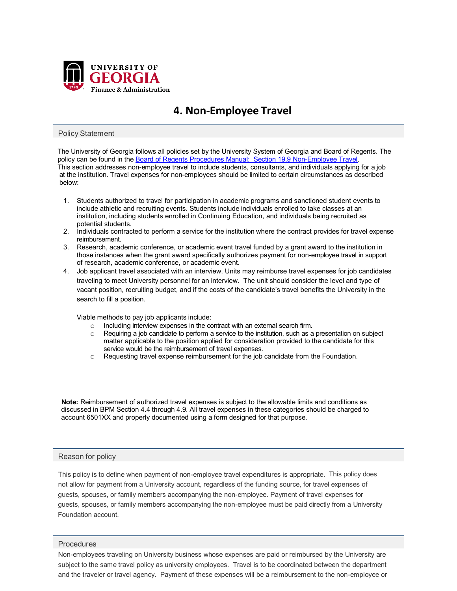

# **4. Non-Employee Travel**

## Policy Statement

The University of Georgia follows all policies set by the University System of Georgia and Board of Regents. The policy can be found in th[e Board of Regents Procedures Manual: Section 19.9 Non-Employee Travel.](https://www.usg.edu/business_procedures_manual/section19/C1571) This section addresses non-employee travel to include students, consultants, and individuals applying for a job at the institution. Travel expenses for non-employees should be limited to certain circumstances as described below:

- 1. Students authorized to travel for participation in academic programs and sanctioned student events to include athletic and recruiting events. Students include individuals enrolled to take classes at an institution, including students enrolled in Continuing Education, and individuals being recruited as potential students.
- 2. Individuals contracted to perform a service for the institution where the contract provides for travel expense reimbursement.
- 3. Research, academic conference, or academic event travel funded by a grant award to the institution in those instances when the grant award specifically authorizes payment for non-employee travel in support of research, academic conference, or academic event.
- 4. Job applicant travel associated with an interview. Units may reimburse travel expenses for job candidates traveling to meet University personnel for an interview. The unit should consider the level and type of vacant position, recruiting budget, and if the costs of the candidate's travel benefits the University in the search to fill a position.

Viable methods to pay job applicants include:

- o Including interview expenses in the contract with an external search firm.
- $\circ$  Requiring a job candidate to perform a service to the institution, such as a presentation on subject matter applicable to the position applied for consideration provided to the candidate for this service would be the reimbursement of travel expenses.
- o Requesting travel expense reimbursement for the job candidate from the Foundation.

**Note:** Reimbursement of authorized travel expenses is subject to the allowable limits and conditions as discussed in BPM Section 4.4 through 4.9. All travel expenses in these categories should be charged to account 6501XX and properly documented using a form designed for that purpose.

## Reason for policy

This policy is to define when payment of non-employee travel expenditures is appropriate. This policy does not allow for payment from a University account, regardless of the funding source, for travel expenses of guests, spouses, or family members accompanying the non-employee. Payment of travel expenses for guests, spouses, or family members accompanying the non-employee must be paid directly from a University Foundation account.

## **Procedures**

Non-employees traveling on University business whose expenses are paid or reimbursed by the University are subject to the same travel policy as university employees. Travel is to be coordinated between the department and the traveler or travel agency. Payment of these expenses will be a reimbursement to the non-employee or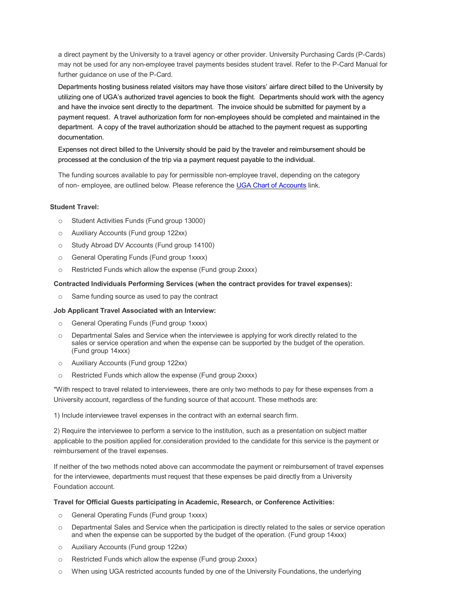a direct payment by the University to a travel agency or other provider. University Purchasing Cards (P-Cards) may not be used for any non-employee travel payments besides student travel. Refer to the P-Card Manual for further guidance on use of the P-Card.

Departments hosting business related visitors may have those visitors' airfare direct billed to the University by utilizing one of UGA's authorized travel agencies to book the flight. Departments should work with the agency and have the invoice sent directly to the department. The invoice should be submitted for payment by a payment request. A travel authorization form for non-employees should be completed and maintained in the department. A copy of the travel authorization should be attached to the payment request as supporting documentation.

Expenses not direct billed to the University should be paid by the traveler and reimbursement should be processed at the conclusion of the trip via a payment request payable to the individual.

The funding sources available to pay for permissible non-employee travel, depending on the category of non- employee, are outlined below. Please reference the UGA Chart [of Accounts](https://onesource.uga.edu/resources/chart_of_accounts/) link.

## **Student Travel:**

- o Student Activities Funds (Fund group 13000)
- o Auxiliary Accounts (Fund group 122xx)
- o Study Abroad DV Accounts (Fund group 14100)
- o General Operating Funds (Fund group 1xxxx)
- o Restricted Funds which allow the expense (Fund group 2xxxx)

## **Contracted Individuals Performing Services (when the contract provides for travel expenses):**

o Same funding source as used to pay the contract

## **Job Applicant Travel Associated with an Interview:**

- o General Operating Funds (Fund group 1xxxx)
- o Departmental Sales and Service when the interviewee is applying for work directly related to the sales or service operation and when the expense can be supported by the budget of the operation. (Fund group 14xxx)
- o Auxiliary Accounts (Fund group 122xx)
- o Restricted Funds which allow the expense (Fund group 2xxxx)

\*With respect to travel related to interviewees, there are only two methods to pay for these expenses from a University account, regardless of the funding source of that account. These methods are:

1) Include interviewee travel expenses in the contract with an external search firm.

2) Require the interviewee to perform a service to the institution, such as a presentation on subject matter applicable to the position applied for.consideration provided to the candidate for this service is the payment or reimbursement of the travel expenses.

If neither of the two methods noted above can accommodate the payment or reimbursement of travel expenses for the interviewee, departments must request that these expenses be paid directly from a University Foundation account.

## **Travel for Official Guests participating in Academic, Research, or Conference Activities:**

- o General Operating Funds (Fund group 1xxxx)
- o Departmental Sales and Service when the participation is directly related to the sales or service operation and when the expense can be supported by the budget of the operation. (Fund group 14xxx)
- o Auxiliary Accounts (Fund group 122xx)
- o Restricted Funds which allow the expense (Fund group 2xxxx)
- o When using UGA restricted accounts funded by one of the University Foundations, the underlying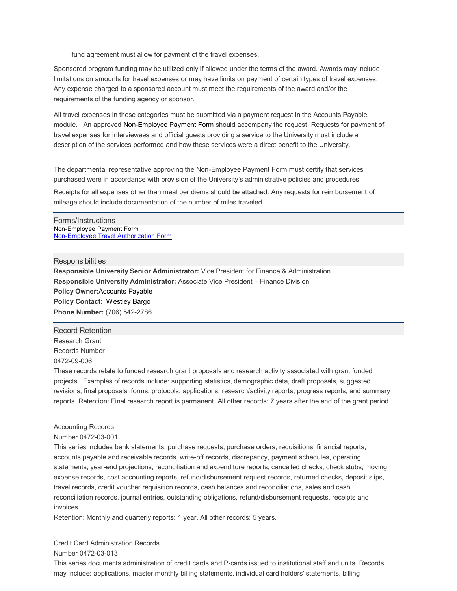fund agreement must allow for payment of the travel expenses.

Sponsored program funding may be utilized only if allowed under the terms of the award. Awards may include limitations on amounts for travel expenses or may have limits on payment of certain types of travel expenses. Any expense charged to a sponsored account must meet the requirements of the award and/or the requirements of the funding agency or sponsor.

All travel expenses in these categories must be submitted via a payment request in the Accounts Payable module. An approved [Non-Employee Payment Form](http://busfin.uga.edu/forms/Non_emp_payment.pdf) should accompany the request. Requests for payment of travel expenses for interviewees and official guests providing a service to the University must include a description of the services performed and how these services were a direct benefit to the University.

The departmental representative approving the Non-Employee Payment Form must certify that services purchased were in accordance with provision of the University's administrative policies and procedures.

Receipts for all expenses other than meal per diems should be attached. Any requests for reimbursement of mileage should include documentation of the number of miles traveled.

## Forms/Instructions [Non-Employee Payment Form](http://www.busfin.uga.edu/forms/Non_emp_payment.pdf)  [Non-Employee Travel Authorization Form](https://busfin.uga.edu/forms/nonemployee_travel.pdf)

#### **Responsibilities**

**Responsible University Senior Administrator:** Vice President for Finance & Administration **Responsible University Administrator:** Associate Vice President – Finance Division **Policy Owner:**[Accounts Payable](mailto:actpay@uga.edu) **Policy Contact:** [Westley Bargo](mailto:wbargo1@uga.edu) **Phone Number:** (706) 542-2786

#### Record Retention

Research Grant Records Number 0472-09-006

These records relate to funded research grant proposals and research activity associated with grant funded projects. Examples of records include: supporting statistics, demographic data, draft proposals, suggested revisions, final proposals, forms, protocols, applications, research/activity reports, progress reports, and summary reports. Retention: Final research report is permanent. All other records: 7 years after the end of the grant period.

## Accounting Records

#### Number 0472-03-001

This series includes bank statements, purchase requests, purchase orders, requisitions, financial reports, accounts payable and receivable records, write-off records, discrepancy, payment schedules, operating statements, year-end projections, reconciliation and expenditure reports, cancelled checks, check stubs, moving expense records, cost accounting reports, refund/disbursement request records, returned checks, deposit slips, travel records, credit voucher requisition records, cash balances and reconciliations, sales and cash reconciliation records, journal entries, outstanding obligations, refund/disbursement requests, receipts and invoices.

Retention: Monthly and quarterly reports: 1 year. All other records: 5 years.

## Credit Card Administration Records

## Number 0472-03-013

This series documents administration of credit cards and P-cards issued to institutional staff and units. Records may include: applications, master monthly billing statements, individual card holders' statements, billing